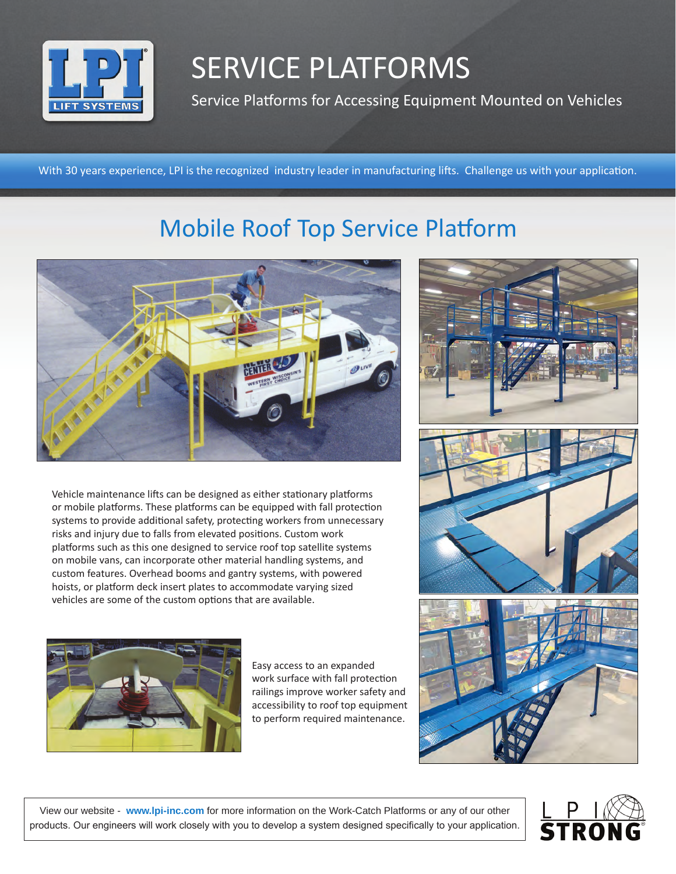

## SERVICE PLATFORMS

Service Platforms for Accessing Equipment Mounted on Vehicles

With 30 years experience, LPI is the recognized industry leader in manufacturing lifts. Challenge us with your application.

## Mobile Roof Top Service Platform



Vehicle maintenance lifts can be designed as either stationary platforms or mobile platforms. These platforms can be equipped with fall protection systems to provide additional safety, protecting workers from unnecessary risks and injury due to falls from elevated positions. Custom work platforms such as this one designed to service roof top satellite systems on mobile vans, can incorporate other material handling systems, and custom features. Overhead booms and gantry systems, with powered hoists, or platform deck insert plates to accommodate varying sized vehicles are some of the custom options that are available.



Easy access to an expanded work surface with fall protection railings improve worker safety and accessibility to roof top equipment to perform required maintenance.



View our website - **www.lpi-inc.com** for more information on the Work-Catch Platforms or any of our other products. Our engineers will work closely with you to develop a system designed specifically to your application.